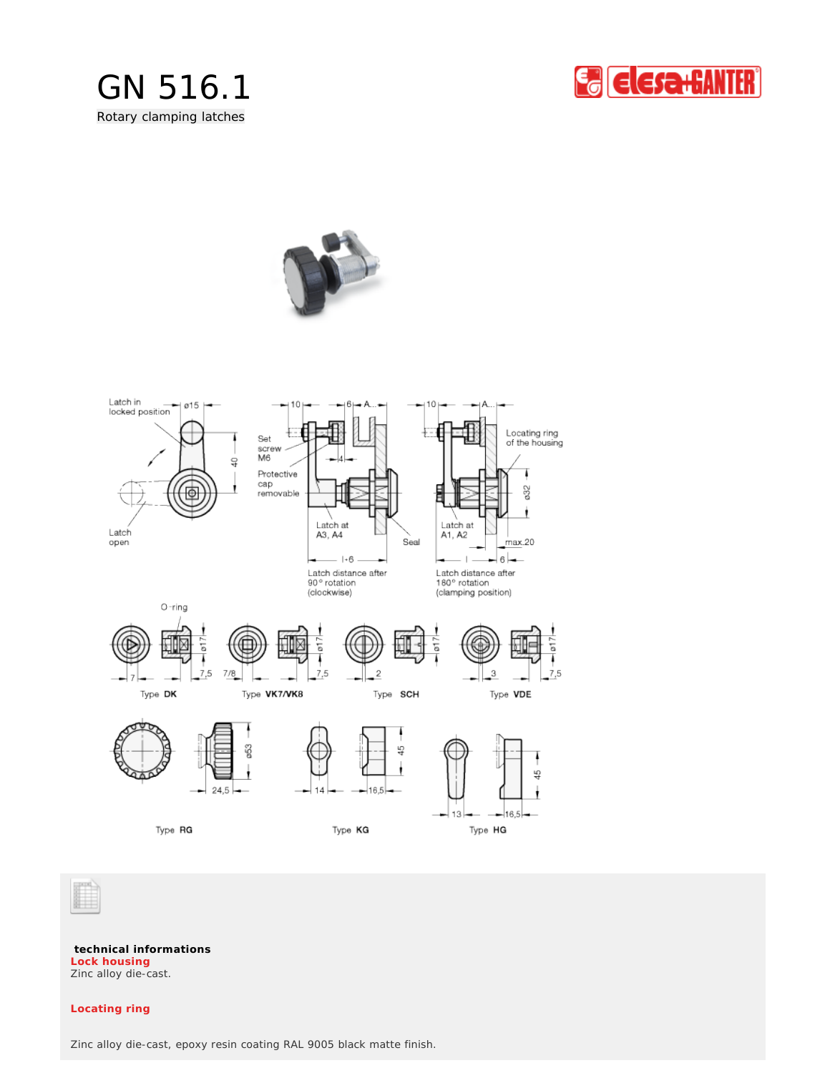







**technical informations** Zinc alloy die-cast. **Lock housing**

# **Locating ring**

Zinc alloy die-cast, epoxy resin coating RAL 9005 black matte finish.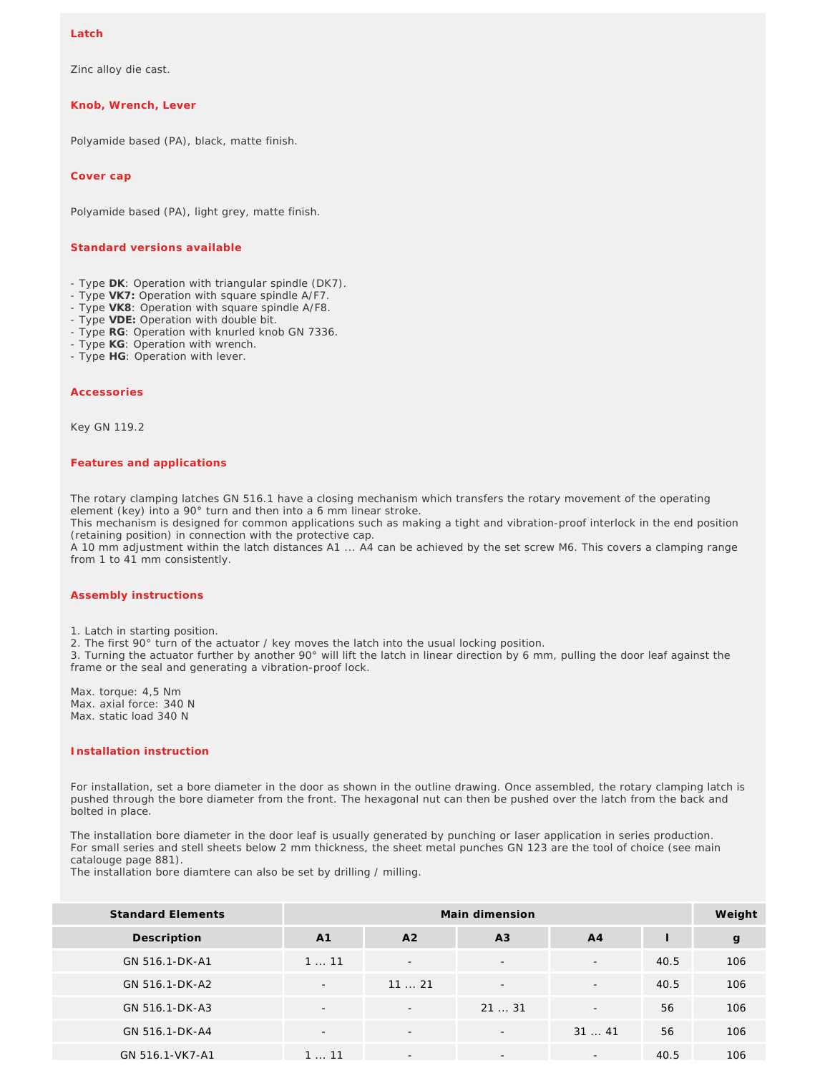### **Latch**

Zinc alloy die cast.

### **Knob, Wrench, Lever**

Polyamide based (PA), black, matte finish.

**Cover cap**

Polyamide based (PA), light grey, matte finish.

## **Standard versions available**

- Type **DK**: Operation with triangular spindle (DK7).
- Type **VK7:** Operation with square spindle A/F7.
- Type **VK8**: Operation with square spindle A/F8.
- Type **VDE:** Operation with double bit.
- Type **RG**: Operation with knurled knob GN 7336.
- Type **KG**: Operation with wrench.
- Type **HG**: Operation with lever.

#### **Accessories**

Key GN 119.2

#### *Features and applications*

The rotary clamping latches GN 516.1 have a closing mechanism which transfers the rotary movement of the operating element (key) into a 90° turn and then into a 6 mm linear stroke.

This mechanism is designed for common applications such as making a tight and vibration-proof interlock in the end position (retaining position) in connection with the protective cap.

A 10 mm adjustment within the latch distances A1 ... A4 can be achieved by the set screw M6. This covers a clamping range from 1 to 41 mm consistently.

#### *Assembly instructions*

1. Latch in starting position.

2. The first 90° turn of the actuator / key moves the latch into the usual locking position.

3. Turning the actuator further by another 90° will lift the latch in linear direction by 6 mm, pulling the door leaf against the frame or the seal and generating a vibration-proof lock.

Max. torque: 4,5 Nm Max. axial force: 340 N Max. static load 340 N

# *Installation instruction*

For installation, set a bore diameter in the door as shown in the outline drawing. Once assembled, the rotary clamping latch is pushed through the bore diameter from the front. The hexagonal nut can then be pushed over the latch from the back and bolted in place.

The installation bore diameter in the door leaf is usually generated by punching or laser application in series production. For small series and stell sheets below 2 mm thickness, the sheet metal punches GN 123 are the tool of choice (see main catalouge page 881).

The installation bore diamtere can also be set by drilling / milling.

| <b>Standard Elements</b> |                          | Weight                   |                          |                          |      |              |
|--------------------------|--------------------------|--------------------------|--------------------------|--------------------------|------|--------------|
| Description              | A <sub>1</sub>           | A <sub>2</sub>           | A3                       | A <sub>4</sub>           |      | $\mathbf{g}$ |
| GN 516.1-DK-A1           | 111                      | $\overline{\phantom{a}}$ | $\overline{\phantom{a}}$ | $\overline{\phantom{a}}$ | 40.5 | 106          |
| GN 516.1-DK-A2           | $\overline{\phantom{a}}$ | 1121                     | $\overline{\phantom{a}}$ | $\overline{\phantom{a}}$ | 40.5 | 106          |
| GN 516.1-DK-A3           | $\overline{\phantom{a}}$ | $\overline{\phantom{a}}$ | 2131                     | $\overline{\phantom{a}}$ | 56   | 106          |
| GN 516.1-DK-A4           | $\overline{\phantom{a}}$ | $\overline{\phantom{a}}$ | $\overline{\phantom{a}}$ | 3141                     | 56   | 106          |
| GN 516.1-VK7-A1          | 111                      | $\overline{\phantom{a}}$ | $\qquad \qquad -$        | $\overline{\phantom{a}}$ | 40.5 | 106          |